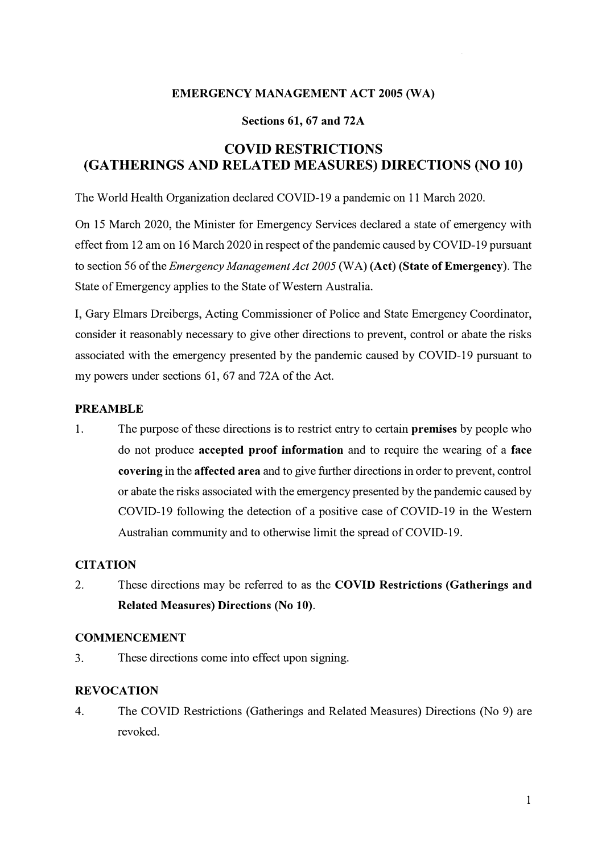#### **EMERGENCY MANAGEMENT ACT 2005 (WA)**

#### **Sections 61, 67 and 72A**

# **COVID RESTRICTIONS (GATHERINGS AND RELATED MEASURES) DIRECTIONS (NO 10)**

The World Health Organization declared COVID-19 a pandemic on 11 March 2020.

On 15 March 2020, the Minister for Emergency Services declared a state of emergency with effect from 12 am on 16 March 2020 in respect of the pandemic caused by COVID-19 pursuant to section 56 of the *Emergency Management Act 2005* (WA) **(Act) (State of Emergency).** The State of Emergency applies to the State of Western Australia.

I, Gary Elmars Dreibergs, Acting Commissioner of Police and State Emergency Coordinator, consider it reasonably necessary to give other directions to prevent, control or abate the risks associated with the emergency presented by the pandemic caused by COVID-19 pursuant to my powers under sections 61, 67 and 72A of the Act.

### **PREAMBLE**

1. The purpose of these directions is to restrict entry to certain **premises** by people who do not produce **accepted proof information** and to require the wearing of a **face covering** in the **affected area** and to give further directions in order to prevent, control or abate the risks associated with the emergency presented by the pandemic caused by COVID-19 following the detection of a positive case of COVID-19 in the Western Australian community and to otherwise limit the spread of COVID-19.

## **CITATION**

2. These directions may be referred to as the **COVID Restrictions (Gatherings and Related Measures) Directions (No 10).**

#### **COMMENCEMENT**

3. These directions come into effect upon signing.

## **REVOCATION**

4. The COVID Restrictions (Gatherings and Related Measures) Directions (No 9) are revoked.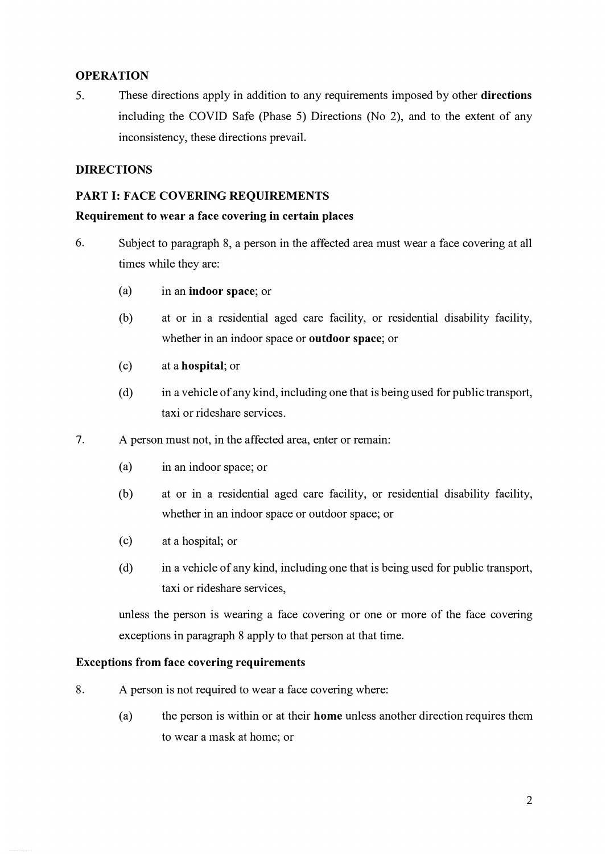### **OPERATION**

5. These directions apply in addition to any requirements imposed by other **directions** including the COVID Safe (Phase 5) Directions (No 2), and to the extent of any inconsistency, these directions prevail.

### **DIRECTIONS**

#### **PART I: FACE COVERING REQUIREMENTS**

#### **Requirement to wear a face covering in certain places**

- 6. Subject to paragraph 8, a person in the affected area must wear a face covering at all times while they are:
	- (a) in an **indoor space;** or
	- (b) at or in a residential aged care facility, or residential disability facility, whether in an indoor space or **outdoor space;** or
	- ( c) at a **hospital;** or
	- $(d)$  in a vehicle of any kind, including one that is being used for public transport, taxi or rideshare services.
- 7. A person must not, in the affected area, enter or remain:
	- (a) in an indoor space; or
	- (b) at or in a residential aged care facility, or residential disability facility, whether in an indoor space or outdoor space; or
	- (c) at a hospital; or
	- ( d) in a vehicle of any kind, including one that is being used for public transport, taxi or rideshare services,

unless the person is wearing a face covering or one or more of the face covering exceptions in paragraph 8 apply to that person at that time.

#### **Exceptions from face covering requirements**

- 8. A person is not required to wear a face covering where:
	- (a) the person is within or at their **home** unless another direction requires them to wear a mask at home; or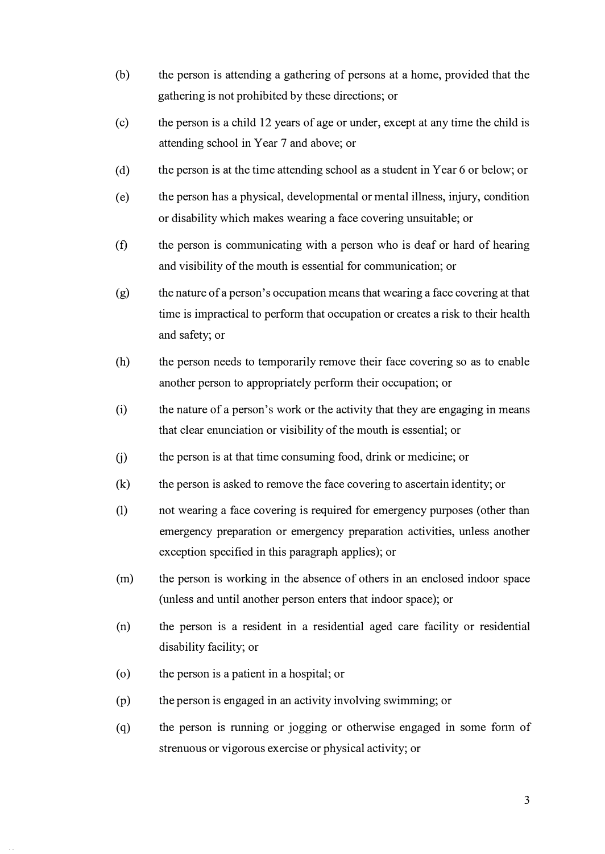- (b) the person is attending a gathering of persons at a home, provided that the gathering is not prohibited by these directions; or
- (c) the person is a child 12 years of age or under, except at any time the child is attending school in Year 7 and above; or
- ( d) the person is at the time attending school as a student in Year 6 or below; or
- (e) the person has a physical, developmental or mental illness, injury, condition or disability which makes wearing a face covering unsuitable; or
- (f) the person is communicating with a person who is deaf or hard of hearing and visibility of the mouth is essential for communication; or
- $(g)$  the nature of a person's occupation means that wearing a face covering at that time is impractical to perform that occupation or creates a risk to their health and safety; or
- (h) the person needs to temporarily remove their face covering so as to enable another person to appropriately perform their occupation; or
- (i) the nature of a person's work or the activity that they are engaging in means that clear enunciation or visibility of the mouth is essential; or
- (j) the person is at that time consuming food, drink or medicine; or
- (k) the person is asked to remove the face covering to ascertain identity; or
- (I) not wearing a face covering is required for emergency purposes (other than emergency preparation or emergency preparation activities, unless another exception specified in this paragraph applies); or
- (m) the person is working in the absence of others in an enclosed indoor space (unless and until another person enters that indoor space); or
- (n) the person is a resident in a residential aged care facility or residential disability facility; or
- ( o) the person is a patient in a hospital; or
- (p) the person is engaged in an activity involving swimming; or
- (q) the person is running or jogging or otherwise engaged in some fonn of strenuous or vigorous exercise or physical activity; or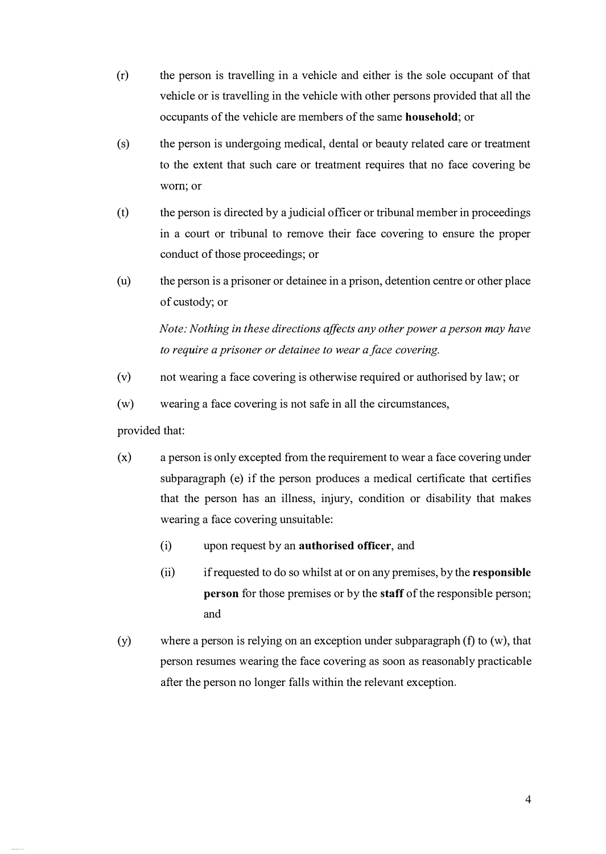- (r) the person is travelling in a vehicle and either is the sole occupant of that vehicle or is travelling in the vehicle with other persons provided that all the occupants of the vehicle are members of the same **household;** or
- (s) the person is undergoing medical, dental or beauty related care or treatment to the extent that such care or treatment requires that no face covering be worn; or
- (t) the person is directed by a judicial officer or tribunal member in proceedings in a court or tribunal to remove their face covering to ensure the proper conduct of those proceedings; or
- (u) the person is a prisoner or detainee in a prison, detention centre or other place of custody; or

*Note: Nothing in these directions affects any other power a person may have to require a prisoner or detainee to wear a face covering.*

- (v) not wearing a face covering is otherwise required or authorised by law; or
- (w) wearing a face covering is not safe in all the circumstances,

provided that:

- (x) a person is only excepted from the requirement to wear a face covering under subparagraph (e) if the person produces a medical certificate that certifies that the person has an illness, injury, condition or disability that makes wearing a face covering unsuitable:
	- (i) upon request by an **authorised officer,** and
	- (ii) if requested to do so whilst at or on any premises, by the **responsible person** for those premises or by the **staff** of the responsible person; and
- (y) where a person is relying on an exception under subparagraph (f) to (w), that person resumes wearing the face covering as soon as reasonably practicable after the person no longer falls within the relevant exception.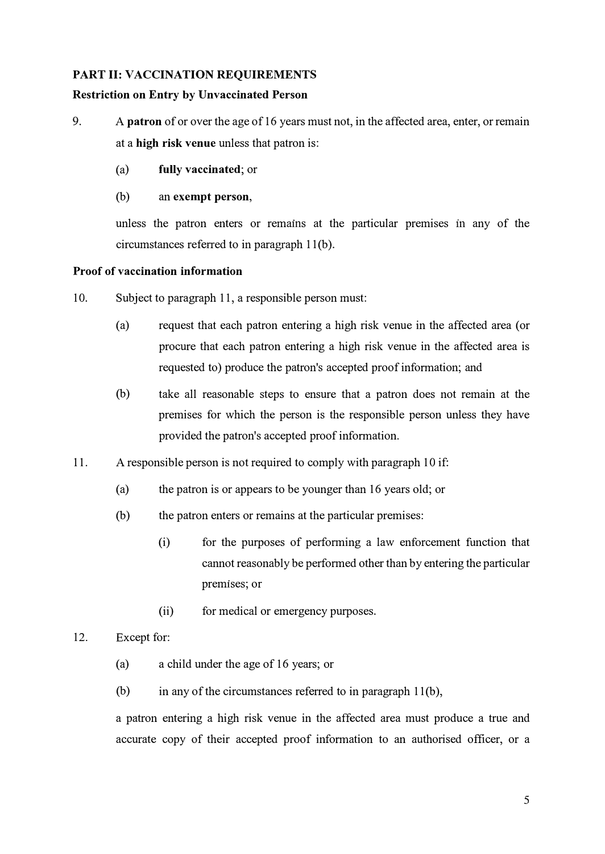#### **PART II: VACCINATION REQUIREMENTS**

#### **Restriction on Entry by Unvaccinated Person**

- 9. A **patron** of or over the age of 16 years must not, in the affected area, enter, or remain at a **high risk venue** unless that patron is:
	- (a) **fully vaccinated;** or
	- (b) an **exempt person,**

unless the patron enters or remains at the particular premises in any of the circumstances referred to in paragraph 11(b).

#### **Proof of vaccination information**

- 10. Subject to paragraph 11, a responsible person must:
	- (a) request that each patron entering a high risk venue in the affected area (or procure that each patron entering a high risk venue in the affected area is requested to) produce the patron's accepted proof information; and
	- (b) take all reasonable steps to ensure that a patron does not remain at the premises for which the person is the responsible person unless they have provided the patron's accepted proof information.
- 11. A responsible person is not required to comply with paragraph 10 if:
	- (a) the patron is or appears to be younger than 16 years old; or
	- (b) the patron enters or remains at the particular premises:
		- (i) for the purposes of performing a law enforcement function that cannot reasonably be performed other than by entering the particular premises; or
		- (ii) for medical or emergency purposes.

#### 12. Except for:

- (a) a child under the age of 16 years; or
- (b) in any of the circumstances referred to in paragraph  $11(b)$ ,

a patron entering a high risk venue in the affected area must produce a true and accurate copy of their accepted proof information to an authorised officer, or a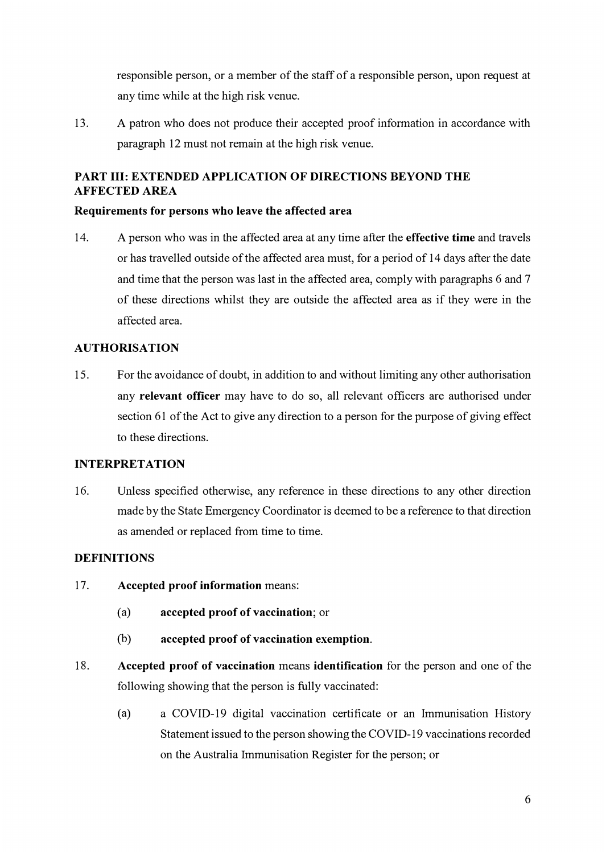responsible person, or a member of the staff of a responsible person, upon request at any time while at the high risk venue.

13. A patron who does not produce their accepted proof information in accordance with paragraph 12 must not remain at the high risk venue.

## **PART III: EXTENDED APPLICATION OF DIRECTIONS BEYOND THE AFFECTED AREA**

### **Requirements for persons who leave the affected area**

14. A person who was in the affected area at any time after the **effective time** and travels or has travelled outside of the affected area must, for a period of 14 days after the date and time that the person was last in the affected area, comply with paragraphs 6 and 7 of these directions whilst they are outside the affected area as if they were in the affected area.

### **AUTHORISATION**

15. For the avoidance of doubt, in addition to and without limiting any other authorisation any **relevant officer** may have to do so, all relevant officers are authorised under section 61 of the Act to give any direction to a person for the purpose of giving effect to these directions.

## **INTERPRETATION**

16. Unless specified otherwise, any reference in these directions to any other direction made by the State Emergency Coordinator is deemed to be a reference to that direction as amended or replaced from time to time.

#### **DEFINITIONS**

- 17. **Accepted proof information** means:
	- (a) **accepted proof of vaccination;** or
	- (b) **accepted proof of vaccination exemption.**
- 18. **Accepted proof of vaccination** means **identification** for the person and one of the following showing that the person is fully vaccinated:
	- ( a) a COVID-19 digital vaccination certificate or an Immunisation History Statement issued to the person showing the COVID-19 vaccinations recorded on the Australia Immunisation Register for the person; or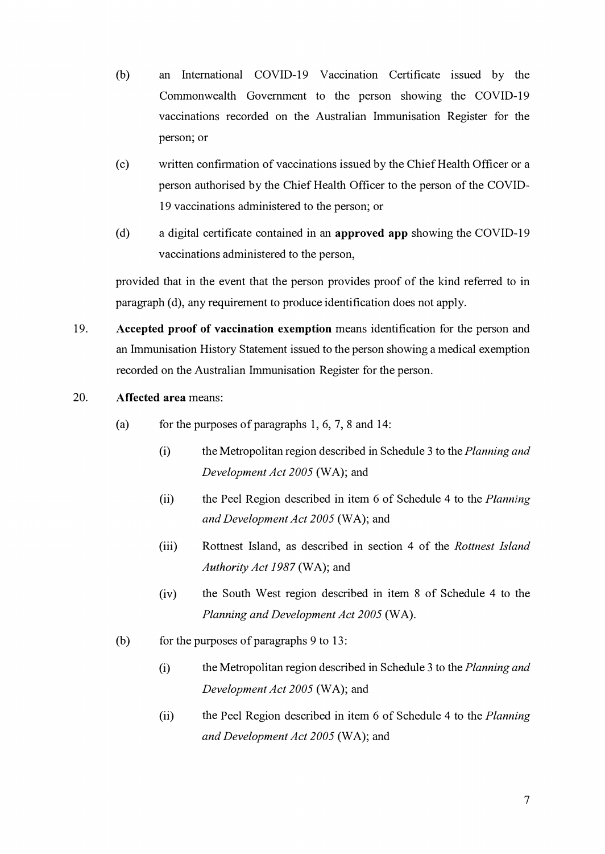- (b) an International COVID-19 Vaccination Certificate issued by the Commonwealth Government to the person showing the COVID-19 vaccinations recorded on the Australian Immunisation Register for the person; or
- ( c) written confirmation of vaccinations issued by the Chief Health Officer or a person authorised by the Chief Health Officer to the person of the COVID-19 vaccinations administered to the person; or
- ( d) a digital certificate contained in an **approved app** showing the COVID-19 vaccinations administered to the person,

provided that in the event that the person provides proof of the kind referred to in paragraph (d), any requirement to produce identification does not apply.

- 19. **Accepted proof of vaccination exemption** means identification for the person and an Immunisation History Statement issued to the person showing a medical exemption recorded on the Australian Immunisation Register for the person.
- 20. **Affected area** means:
	- (a) for the purposes of paragraphs  $1, 6, 7, 8$  and  $14$ :
		- (i) the Metropolitan region described in Schedule 3 to the *Planning and Development Act 2005* (WA); and
		- (ii) the Peel Region described in item 6 of Schedule 4 to the *Planning and Development Act 2005* (WA); and
		- (iii) Rottnest Island, as described in section 4 of the *Rottnest Island Authority Act 1987* (WA); and
		- (iv) the South West region described in item 8 of Schedule 4 to the *Planning and Development Act 2005* (WA).
	- (b) for the purposes of paragraphs 9 to 13:
		- (i) the Metropolitan region described in Schedule 3 to the *Planning and Development Act 2005* (WA); and
		- (ii) the Peel Region described in item 6 of Schedule 4 to the *Planning and Development Act 2005* (WA); and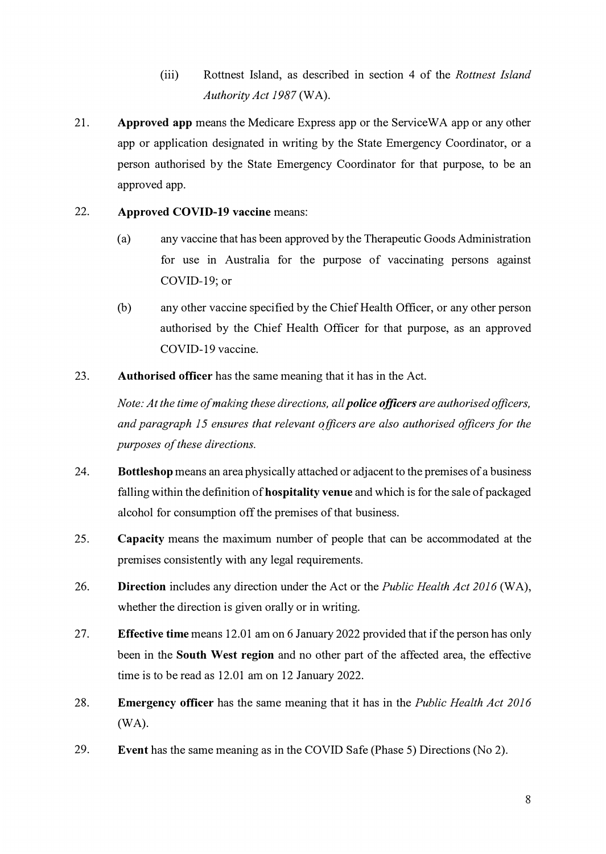- (iii) Rottnest Island, as described in section 4 of the *Rottnest Island Authority Act 1987* (WA).
- 21. **Approved app** means the Medicare Express app or the ServiceWA app or any other app or application designated in writing by the State Emergency Coordinator, or a person authorised by the State Emergency Coordinator for that purpose, to be an approved app.

### 22. **Approved COVID-19 vaccine** means:

- ( a) any vaccine that has been approved by the Therapeutic Goods Administration for use in Australia for the purpose of vaccinating persons against COVID-19; or
- (b) any other vaccine specified by the Chief Health Officer, or any other person authorised by the Chief Health Officer for that purpose, as an approved COVID-19 vaccine.
- 23. **Authorised officer** has the same meaning that it has in the Act.

*Note: At the time of making these directions, all police officers are authorised officers, and paragraph 15 ensures that relevant officers are also authorised officers for the purposes of these directions.*

- 24. **Bottleshop** means an area physically attached or adjacent to the premises of a business falling within the definition of **hospitality venue** and which is for the sale of packaged alcohol for consumption off the premises of that business.
- 25. **Capacity** means the maximum number of people that can be accommodated at the premises consistently with any legal requirements.
- 26. **Direction** includes any direction under the Act or the *Public Health Act 2016* (WA), whether the direction is given orally or in writing.
- 27. **Effective time** means 12.01 am on 6 January 2022 provided that if the person has only been in the **South West region** and no other part of the affected area, the effective time is to be read as 12.01 am on 12 January 2022.
- 28. **Emergency officer** has the same meaning that it has in the *Public Health Act 2016* (WA).
- 29. **Event** has the same meaning as in the COVID Safe (Phase 5) Directions (No 2).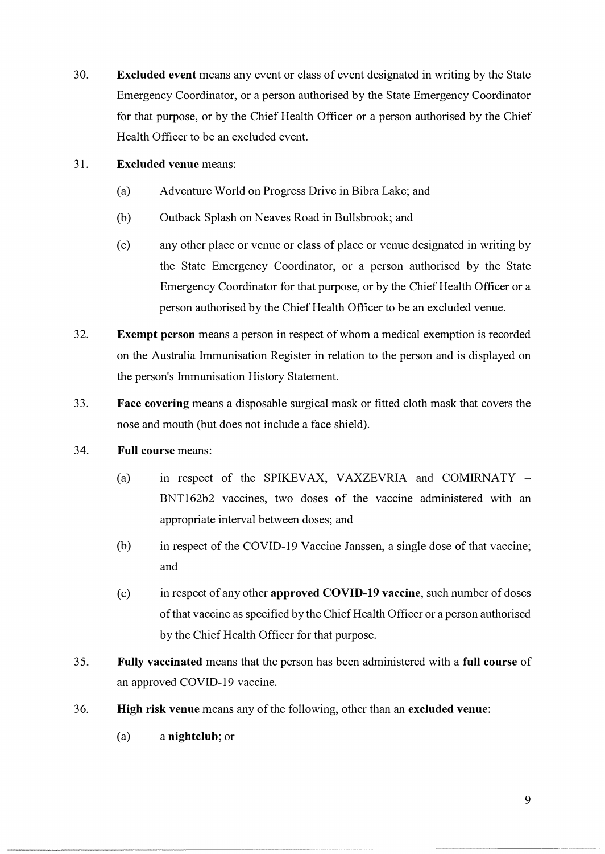- 30. **Excluded event** means any event or class of event designated in writing by the State Emergency Coordinator, or a person authorised by the State Emergency Coordinator for that purpose, or by the Chief Health Officer or a person authorised by the Chief Health Officer to be an excluded event.
- 31. **Excluded venue** means:
	- (a) Adventure World on Progress Drive in Bibra Lake; and
	- (b) Outback Splash on Neaves Road in Bullsbrook; and
	- (c) any other place or venue or class of place or venue designated in writing by the State Emergency Coordinator, or a person authorised by the State Emergency Coordinator for that purpose, or by the Chief Health Officer or a person authorised by the Chief Health Officer to be an excluded venue.
- 32. **Exempt person** means a person in respect of whom a medical exemption is recorded on the Australia Immunisation Register in relation to the person and is displayed on the person's Immunisation History Statement.
- 33. **Face covering** means a disposable surgical mask or fitted cloth mask that covers the nose and mouth (but does not include a face shield).
- 34. **Full course** means:
	- (a) in respect of the SPIKEVAX, VAXZEVRIA and COMIRNATY  $-$ BNT162b2 vaccines, two doses of the vaccine administered with an appropriate interval between doses; and
	- (b) in respect of the COVID-19 Vaccine Janssen, a single dose of that vaccine; and
	- ( c) in respect of any other **approved COVID-19 vaccine,** such number of doses of that vaccine as specified by the Chief Health Officer or a person authorised by the Chief Health Officer for that purpose.
- 35. **Fully vaccinated** means that the person has been administered with a **full course** of an approved COVID-19 vaccine.
- 36. **High risk venue** means any of the following, other than an **excluded venue:**
	- (a) a **nightclub;** or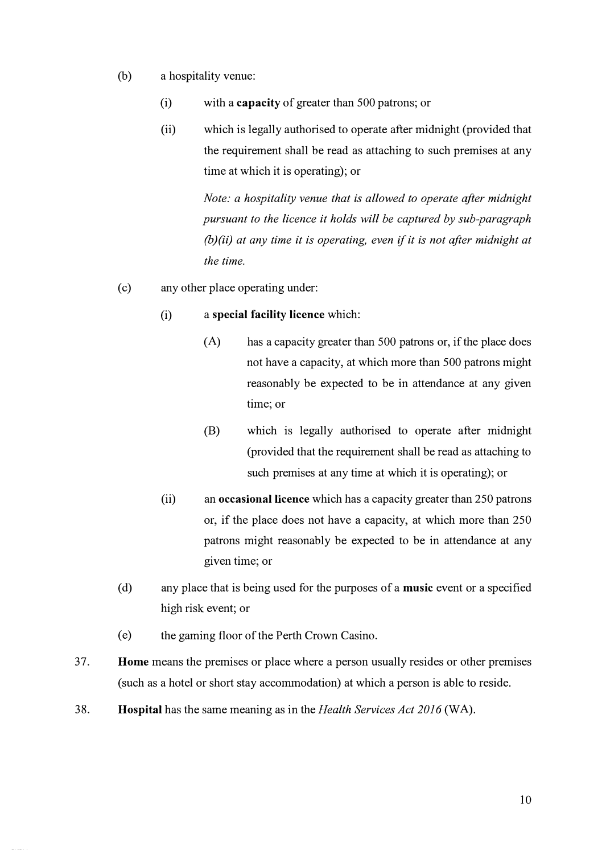- (b) a hospitality venue:
	- (i) with a **capacity** of greater than 500 patrons; or
	- (ii) which is legally authorised to operate after midnight (provided that the requirement shall be read as attaching to such premises at any time at which it is operating); or

*Note: a hospitality venue that is allowed to operate after midnight pursuant to the licence it holds will be captured by sub-paragraph (b)(ii) at any time it is operating, even if it is not after midnight at the time.*

- (c) any other place operating under:
	- (i) a **special facility licence** which:
		- (A) has a capacity greater than 500 patrons or, if the place does not have a capacity, at which more than 500 patrons might reasonably be expected to be in attendance at any given time; or
		- (B) which is legally authorised to operate after midnight (provided that the requirement shall be read as attaching to such premises at any time at which it is operating); or
	- (ii) an **occasional licence** which has a capacity greater than 250 patrons or, if the place does not have a capacity, at which more than 250 patrons might reasonably be expected to be in attendance at any given time; or
- ( d) any place that is being used for the purposes of a **music** event or a specified high risk event; or
- (e) the gaming floor of the Perth Crown Casino.
- 37. **Home** means the premises or place where a person usually resides or other premises ( such as a hotel or short stay accommodation) at which a person is able to reside.
- 38. **Hospital** has the same meaning as in the *Health Services Act 2016* (WA).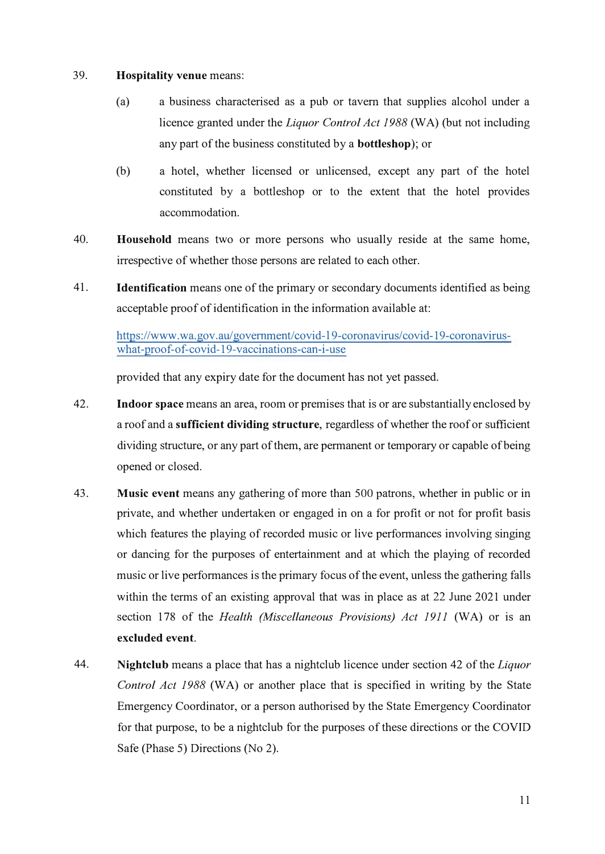#### 39. **Hospitality venue** means:

- (a) a business characterised as a pub or tavern that supplies alcohol under a licence granted under the *Liquor Control Act 1988* (WA) (but not including any part of the business constituted by a **bottleshop** ); or
- (b) a hotel, whether licensed or unlicensed, except any part of the hotel constituted by a bottleshop or to the extent that the hotel provides accommodation.
- 40. **Household** means two or more persons who usually reside at the same home, irrespective of whether those persons are related to each other.
- 41. **Identification** means one of the primary or secondary documents identified as being acceptable proof of identification in the information available at:

https://www .wa.gov .au/govemment/covid-l 9-coronavirus/covid-19-coronaviruswhat-proof-of-covid-19-vaccinations-can-i-use

provided that any expiry date for the document has not yet passed.

- 42. **Indoor space** means an area, room or premises that is or are substantially enclosed by a roof and a **sufficient dividing structure,** regardless of whether the roof or sufficient dividing structure, or any part of them, are permanent or temporary or capable of being opened or closed.
- 43. **Music event** means any gathering of more than 500 patrons, whether in public or in private, and whether undertaken or engaged in on a for profit or not for profit basis which features the playing of recorded music or live performances involving singing or dancing for the purposes of entertainment and at which the playing of recorded music or live performances is the primary focus of the event, unless the gathering falls within the terms of an existing approval that was in place as at 22 June 2021 under section 178 of the *Health (Miscellaneous Provisions) Act 1911* (WA) or is an **excluded event.**
- 44. **Nightclub** means a place that has a nightclub licence under section 42 of the *Liquor Control Act 1988* (WA) or another place that is specified in writing by the State Emergency Coordinator, or a person authorised by the State Emergency Coordinator for that purpose, to be a nightclub for the purposes of these directions or the COVID Safe (Phase 5) Directions (No 2).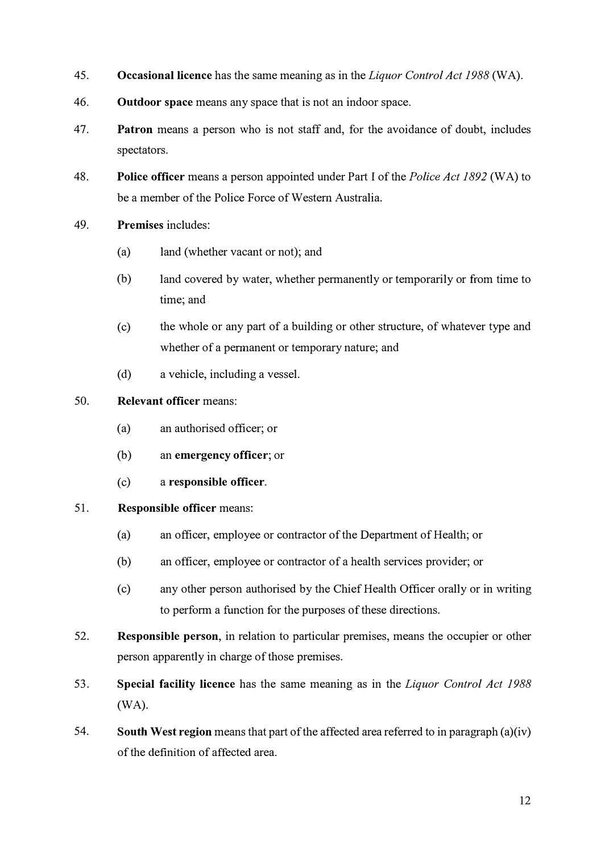- 45. **Occasional licence** has the same meaning as in the *Liquor Control Act 1988* (WA).
- 46. **Outdoor space** means any space that is not an indoor space.
- 47. **Patron** means a person who is not staff and, for the avoidance of doubt, includes spectators.
- 48. **Police officer** means a person appointed under Part I of the *Police Act 1892* (WA) to be a member of the Police Force of Western Australia.
- 49. **Premises** includes:
	- (a) land (whether vacant or not); and
	- (b) land covered by water, whether permanently or temporarily or from time to time; and
	- ( c) the whole or any part of a building or other structure, of whatever type and whether of a permanent or temporary nature; and
	- (d) a vehicle, including a vessel.

### 50. **Relevant officer** means:

- (a) an authorised officer; or
- (b) an **emergency officer;** or
- (c) a **responsible officer.**

#### 51. **Responsible officer** means:

- (a) an officer, employee or contractor of the Department of Health; or
- (b) an officer, employee or contractor of a health services provider; or
- (c) any other person authorised by the Chief Health Officer orally or in writing to perform a function for the purposes of these directions.
- 52. **Responsible person,** in relation to particular premises, means the occupier or other person apparently in charge of those premises.
- 53. **Special facility licence** has the same meaning as in the *Liquor Control Act 1988* (WA).
- 54. **South West region** means that part of the affected area referred to in paragraph (a)(iv) of the definition of affected area.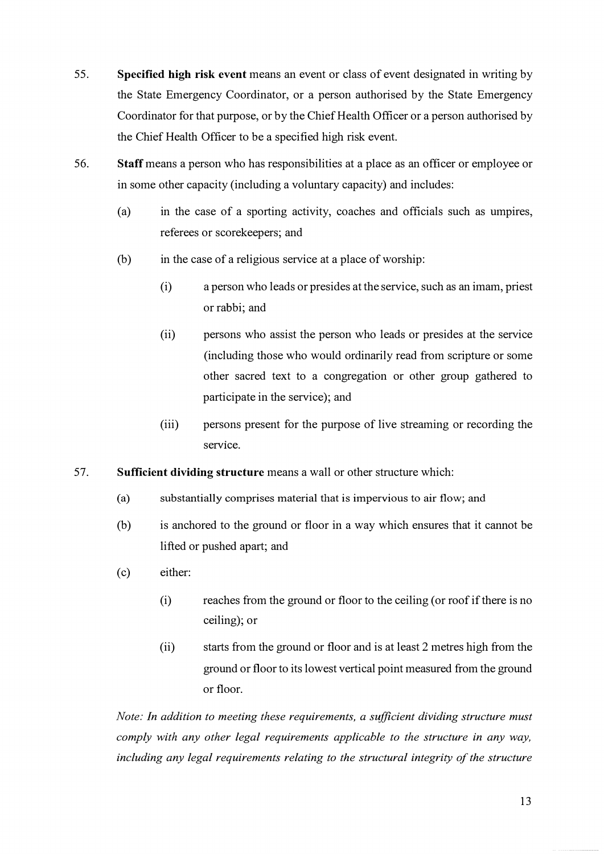- 55. **Specified high risk event** means an event or class of event designated in writing by the State Emergency Coordinator, or a person authorised by the State Emergency Coordinator for that purpose, or by the Chief Health Officer or a person authorised by the Chief Health Officer to be a specified high risk event.
- 56. **Staff** means a person who has responsibilities at a place as an officer or employee or in some other capacity (including a voluntary capacity) and includes:
	- (a) in the case of a sporting activity, coaches and officials such as umpires, referees or scorekeepers; and
	- (b) in the case of a religious service at a place of worship:
		- (i) a person who leads or presides at the service, such as an imam, priest or rabbi; and
		- (ii) persons who assist the person who leads or presides at the service (including those who would ordinarily read from scripture or some other sacred text to a congregation or other group gathered to participate in the service); and
		- (iii) persons present for the purpose of live streaming or recording the service.
- 57. **Sufficient dividing structure** means a wall or other structure which:
	- (a) substantially comprises material that is impervious to air flow; and
	- (b) is anchored to the ground or floor in a way which ensures that it cannot be lifted or pushed apart; and
	- (c) either:
		- (i) reaches from the ground or floor to the ceiling (or roof if there is no ceiling); or
		- (ii) starts from the ground or floor and is at least 2 metres high from the ground or floor to its lowest vertical point measured from the ground or floor.

*Note: In addition to meeting these requirements, a sufficient dividing structure must comply with any other legal requirements applicable to the structure in any way, including any legal requirements relating to the structural integrity of the structure*